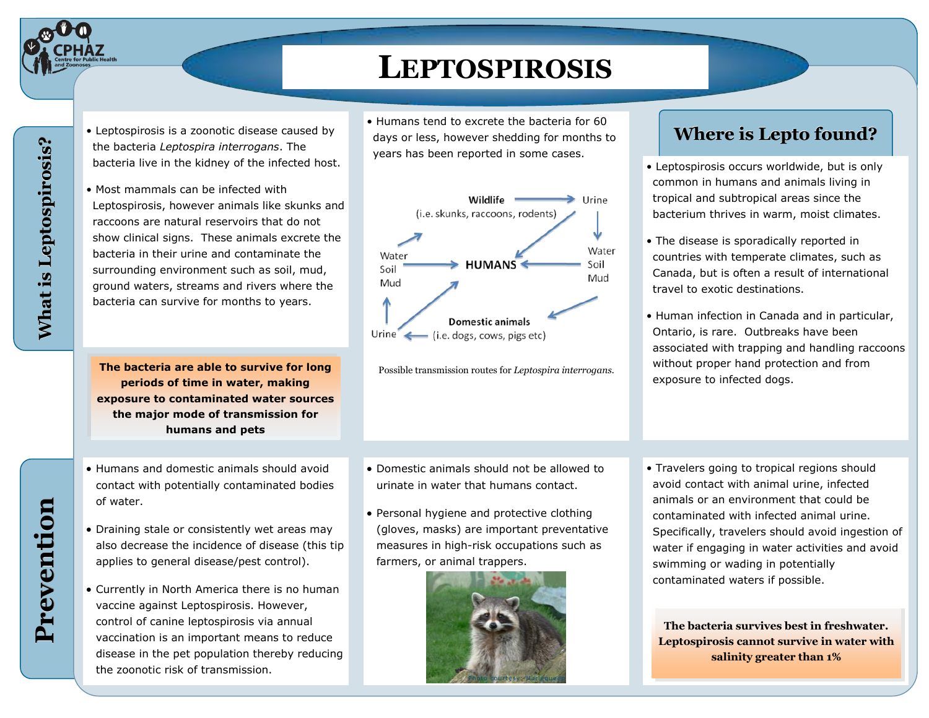

## **LEPTOSPIROSIS**

- Leptospirosis is a zoonotic disease caused by the bacteria *Leptospira interrogans*. The bacteria live in the kidney of the infected host.
	- Most mammals can be infected with Leptospirosis, however animals like skunks and raccoons are natural reservoirs that do not show clinical signs. These animals excrete the bacteria in their urine and contaminate the surrounding environment such as soil, mud, ground waters, streams and rivers where the bacteria can survive for months to years.

**The bacteria are able to survive for long periods of time in water, making exposure to contaminated water sources the major mode of transmission for humans and pets**

- Humans and domestic animals should avoid contact with potentially contaminated bodies of water.
- Draining stale or consistently wet areas may also decrease the incidence of disease (this tip applies to general disease/pest control).
- Currently in North America there is no human vaccine against Leptospirosis. However, control of canine leptospirosis via annual vaccination is an important means to reduce disease in the pet population thereby reducing the zoonotic risk of transmission.

• Humans tend to excrete the bacteria for 60 days or less, however shedding for months to years has been reported in some cases.



Possible transmission routes for *Leptospira interrogans.*

- Domestic animals should not be allowed to urinate in water that humans contact.
- Personal hygiene and protective clothing (gloves, masks) are important preventative measures in high-risk occupations such as farmers, or animal trappers.



## **Where is Lepto found?**

- Leptospirosis occurs worldwide, but is only common in humans and animals living in tropical and subtropical areas since the bacterium thrives in warm, moist climates.
- The disease is sporadically reported in countries with temperate climates, such as Canada, but is often a result of international travel to exotic destinations.
- Human infection in Canada and in particular, Ontario, is rare. Outbreaks have been associated with trapping and handling raccoons without proper hand protection and from exposure to infected dogs.

• Travelers going to tropical regions should avoid contact with animal urine, infected animals or an environment that could be contaminated with infected animal urine. Specifically, travelers should avoid ingestion of water if engaging in water activities and avoid swimming or wading in potentially contaminated waters if possible.

**The bacteria survives best in freshwater. Leptospirosis cannot survive in water with salinity greater than 1%**

**What is Leptospirosis? What is Leptospirosis?**

**Prevention** 

Prevention